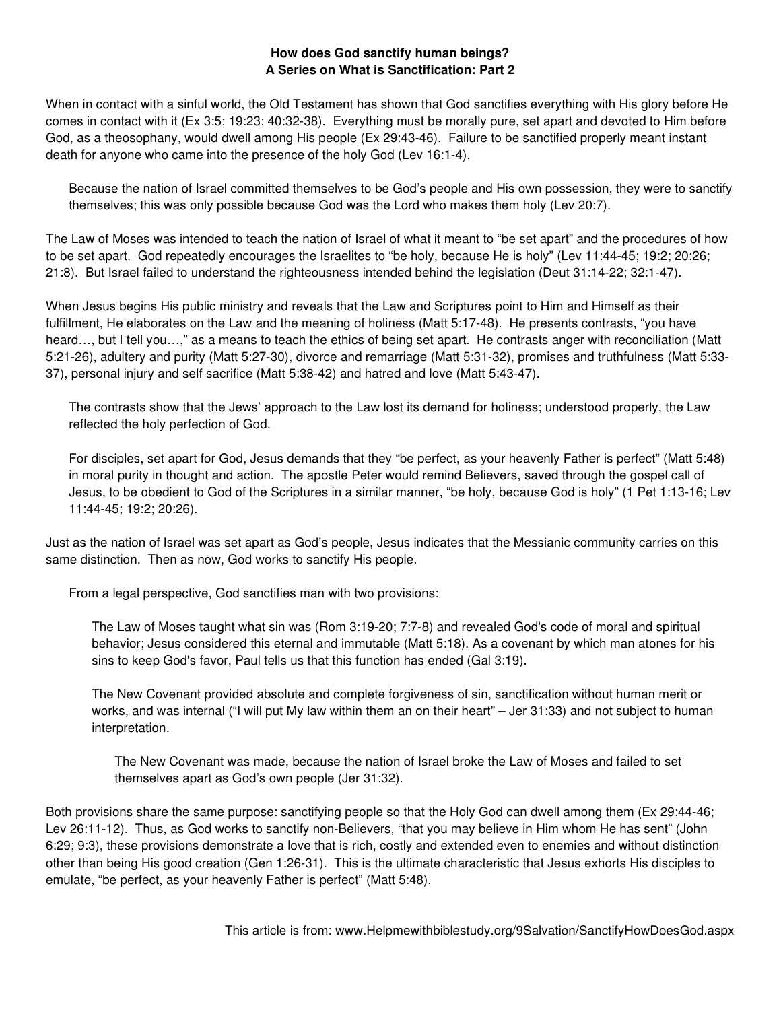## **How does God sanctify human beings? A Series on What is Sanctification: Part 2**

When in contact with a sinful world, the Old Testament has shown that God sanctifies everything with His glory before He comes in contact with it (Ex 3:5; 19:23; 40:32-38). Everything must be morally pure, set apart and devoted to Him before God, as a theosophany, would dwell among His people (Ex 29:43-46). Failure to be sanctified properly meant instant death for anyone who came into the presence of the holy God (Lev 16:1-4).

Because the nation of Israel committed themselves to be God's people and His own possession, they were to sanctify themselves; this was only possible because God was the Lord who makes them holy (Lev 20:7).

The Law of Moses was intended to teach the nation of Israel of what it meant to "be set apart" and the procedures of how to be set apart. God repeatedly encourages the Israelites to "be holy, because He is holy" (Lev 11:44-45; 19:2; 20:26; 21:8). But Israel failed to understand the righteousness intended behind the legislation (Deut 31:14-22; 32:1-47).

When Jesus begins His public ministry and reveals that the Law and Scriptures point to Him and Himself as their fulfillment, He elaborates on the Law and the meaning of holiness (Matt 5:17-48). He presents contrasts, "you have heard..., but I tell you...," as a means to teach the ethics of being set apart. He contrasts anger with reconciliation (Matt 5:21-26), adultery and purity (Matt 5:27-30), divorce and remarriage (Matt 5:31-32), promises and truthfulness (Matt 5:33- 37), personal injury and self sacrifice (Matt 5:38-42) and hatred and love (Matt 5:43-47).

The contrasts show that the Jews' approach to the Law lost its demand for holiness; understood properly, the Law reflected the holy perfection of God.

For disciples, set apart for God, Jesus demands that they "be perfect, as your heavenly Father is perfect" (Matt 5:48) in moral purity in thought and action. The apostle Peter would remind Believers, saved through the gospel call of Jesus, to be obedient to God of the Scriptures in a similar manner, "be holy, because God is holy" (1 Pet 1:13-16; Lev 11:44-45; 19:2; 20:26).

Just as the nation of Israel was set apart as God's people, Jesus indicates that the Messianic community carries on this same distinction. Then as now, God works to sanctify His people.

From a legal perspective, God sanctifies man with two provisions:

The Law of Moses taught what sin was (Rom 3:19-20; 7:7-8) and revealed God's code of moral and spiritual behavior; Jesus considered this eternal and immutable (Matt 5:18). As a covenant by which man atones for his sins to keep God's favor, Paul tells us that this function has ended (Gal 3:19).

The New Covenant provided absolute and complete forgiveness of sin, sanctification without human merit or works, and was internal ("I will put My law within them an on their heart" – Jer 31:33) and not subject to human interpretation.

The New Covenant was made, because the nation of Israel broke the Law of Moses and failed to set themselves apart as God's own people (Jer 31:32).

Both provisions share the same purpose: sanctifying people so that the Holy God can dwell among them (Ex 29:44-46; Lev 26:11-12). Thus, as God works to sanctify non-Believers, "that you may believe in Him whom He has sent" (John 6:29; 9:3), these provisions demonstrate a love that is rich, costly and extended even to enemies and without distinction other than being His good creation (Gen 1:26-31). This is the ultimate characteristic that Jesus exhorts His disciples to emulate, "be perfect, as your heavenly Father is perfect" (Matt 5:48).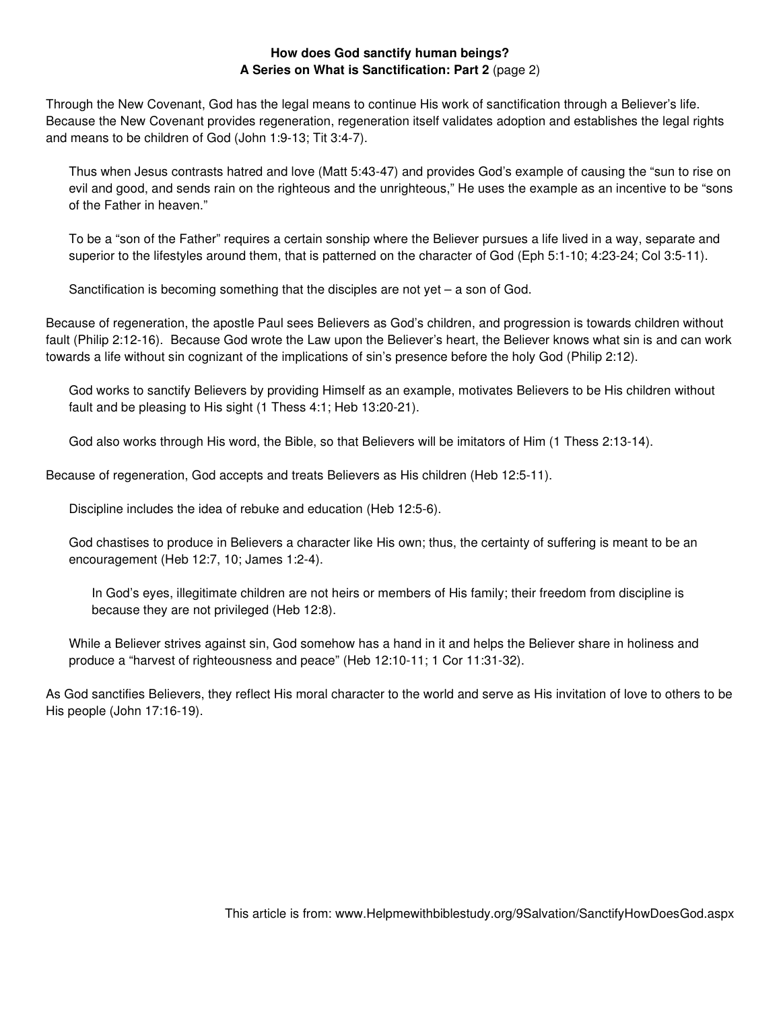## **How does God sanctify human beings? A Series on What is Sanctification: Part 2** (page 2)

Through the New Covenant, God has the legal means to continue His work of sanctification through a Believer's life. Because the New Covenant provides regeneration, regeneration itself validates adoption and establishes the legal rights and means to be children of God (John 1:9-13; Tit 3:4-7).

Thus when Jesus contrasts hatred and love (Matt 5:43-47) and provides God's example of causing the "sun to rise on evil and good, and sends rain on the righteous and the unrighteous," He uses the example as an incentive to be "sons of the Father in heaven."

To be a "son of the Father" requires a certain sonship where the Believer pursues a life lived in a way, separate and superior to the lifestyles around them, that is patterned on the character of God (Eph 5:1-10; 4:23-24; Col 3:5-11).

Sanctification is becoming something that the disciples are not yet – a son of God.

Because of regeneration, the apostle Paul sees Believers as God's children, and progression is towards children without fault (Philip 2:12-16). Because God wrote the Law upon the Believer's heart, the Believer knows what sin is and can work towards a life without sin cognizant of the implications of sin's presence before the holy God (Philip 2:12).

God works to sanctify Believers by providing Himself as an example, motivates Believers to be His children without fault and be pleasing to His sight (1 Thess 4:1; Heb 13:20-21).

God also works through His word, the Bible, so that Believers will be imitators of Him (1 Thess 2:13-14).

Because of regeneration, God accepts and treats Believers as His children (Heb 12:5-11).

Discipline includes the idea of rebuke and education (Heb 12:5-6).

God chastises to produce in Believers a character like His own; thus, the certainty of suffering is meant to be an encouragement (Heb 12:7, 10; James 1:2-4).

In God's eyes, illegitimate children are not heirs or members of His family; their freedom from discipline is because they are not privileged (Heb 12:8).

While a Believer strives against sin, God somehow has a hand in it and helps the Believer share in holiness and produce a "harvest of righteousness and peace" (Heb 12:10-11; 1 Cor 11:31-32).

As God sanctifies Believers, they reflect His moral character to the world and serve as His invitation of love to others to be His people (John 17:16-19).